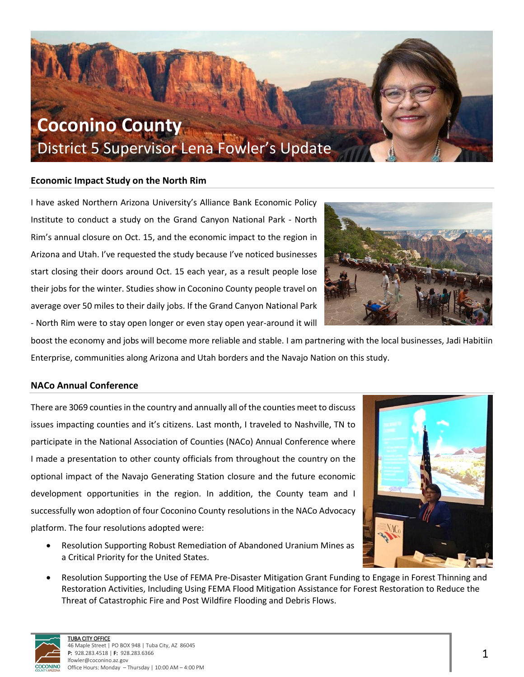

#### **Economic Impact Study on the North Rim**

I have asked Northern Arizona University's Alliance Bank Economic Policy Institute to conduct a study on the Grand Canyon National Park - North Rim's annual closure on Oct. 15, and the economic impact to the region in Arizona and Utah. I've requested the study because I've noticed businesses start closing their doors around Oct. 15 each year, as a result people lose their jobs for the winter. Studies show in Coconino County people travel on average over 50 miles to their daily jobs. If the Grand Canyon National Park - North Rim were to stay open longer or even stay open year-around it will



boost the economy and jobs will become more reliable and stable. I am partnering with the local businesses, Jadi Habitiin Enterprise, communities along Arizona and Utah borders and the Navajo Nation on this study.

#### **NACo Annual Conference**

There are 3069 counties in the country and annually all of the counties meet to discuss issues impacting counties and it's citizens. Last month, I traveled to Nashville, TN to participate in the National Association of Counties (NACo) Annual Conference where I made a presentation to other county officials from throughout the country on the optional impact of the Navajo Generating Station closure and the future economic development opportunities in the region. In addition, the County team and I successfully won adoption of four Coconino County resolutions in the NACo Advocacy platform. The four resolutions adopted were:

• Resolution Supporting Robust Remediation of Abandoned Uranium Mines as a Critical Priority for the United States.



• Resolution Supporting the Use of FEMA Pre-Disaster Mitigation Grant Funding to Engage in Forest Thinning and Restoration Activities, Including Using FEMA Flood Mitigation Assistance for Forest Restoration to Reduce the Threat of Catastrophic Fire and Post Wildfire Flooding and Debris Flows.

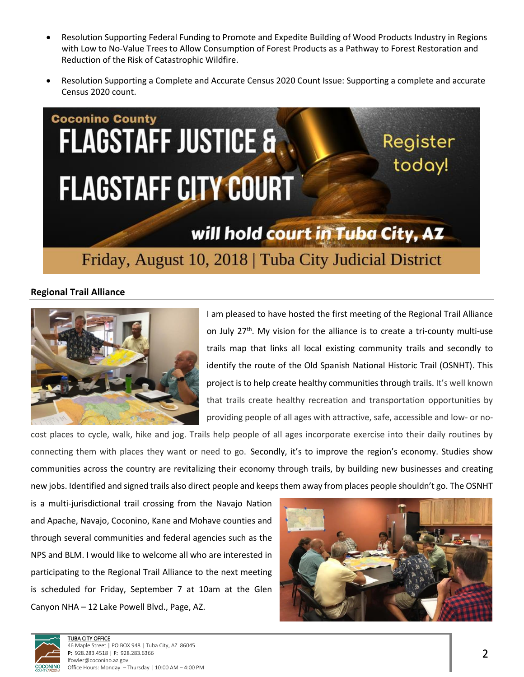- Resolution Supporting Federal Funding to Promote and Expedite Building of Wood Products Industry in Regions with Low to No-Value Trees to Allow Consumption of Forest Products as a Pathway to Forest Restoration and Reduction of the Risk of Catastrophic Wildfire.
- Resolution Supporting a Complete and Accurate Census 2020 Count Issue: Supporting a complete and accurate Census 2020 count.



# **Regional Trail Alliance**



I am pleased to have hosted the first meeting of the Regional Trail Alliance on July 27<sup>th</sup>. My vision for the alliance is to create a tri-county multi-use trails map that links all local existing community trails and secondly to identify the route of the Old Spanish National Historic Trail (OSNHT). This project is to help create healthy communities through trails. It's well known that trails create healthy recreation and transportation opportunities by providing people of all ages with attractive, safe, accessible and low- or no-

cost places to cycle, walk, hike and jog. Trails help people of all ages incorporate exercise into their daily routines by connecting them with places they want or need to go. Secondly, it's to improve the region's economy. Studies show communities across the country are revitalizing their economy through trails, by building new businesses and creating new jobs. Identified and signed trails also direct people and keeps them away from places people shouldn't go. The OSNHT

is a multi-jurisdictional trail crossing from the Navajo Nation and Apache, Navajo, Coconino, Kane and Mohave counties and through several communities and federal agencies such as the NPS and BLM. I would like to welcome all who are interested in participating to the Regional Trail Alliance to the next meeting is scheduled for Friday, September 7 at 10am at the Glen Canyon NHA – 12 Lake Powell Blvd., Page, AZ.



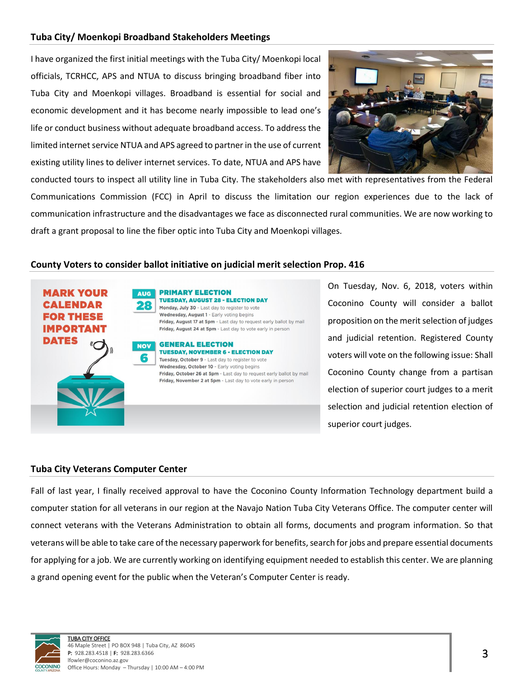#### **Tuba City/ Moenkopi Broadband Stakeholders Meetings**

I have organized the first initial meetings with the Tuba City/ Moenkopi local officials, TCRHCC, APS and NTUA to discuss bringing broadband fiber into Tuba City and Moenkopi villages. Broadband is essential for social and economic development and it has become nearly impossible to lead one's life or conduct business without adequate broadband access. To address the limited internet service NTUA and APS agreed to partner in the use of current existing utility lines to deliver internet services. To date, NTUA and APS have



conducted tours to inspect all utility line in Tuba City. The stakeholders also met with representatives from the Federal Communications Commission (FCC) in April to discuss the limitation our region experiences due to the lack of communication infrastructure and the disadvantages we face as disconnected rural communities. We are now working to draft a grant proposal to line the fiber optic into Tuba City and Moenkopi villages.

#### **County Voters to consider ballot initiative on judicial merit selection Prop. 416**



On Tuesday, Nov. 6, 2018, voters within Coconino County will consider a ballot proposition on the merit selection of judges and judicial retention. Registered County voters will vote on the following issue: Shall Coconino County change from a partisan election of superior court judges to a merit selection and judicial retention election of superior court judges.

#### **Tuba City Veterans Computer Center**

Fall of last year, I finally received approval to have the Coconino County Information Technology department build a computer station for all veterans in our region at the Navajo Nation Tuba City Veterans Office. The computer center will connect veterans with the Veterans Administration to obtain all forms, documents and program information. So that veterans will be able to take care of the necessary paperwork for benefits, search for jobs and prepare essential documents for applying for a job. We are currently working on identifying equipment needed to establish this center. We are planning a grand opening event for the public when the Veteran's Computer Center is ready.